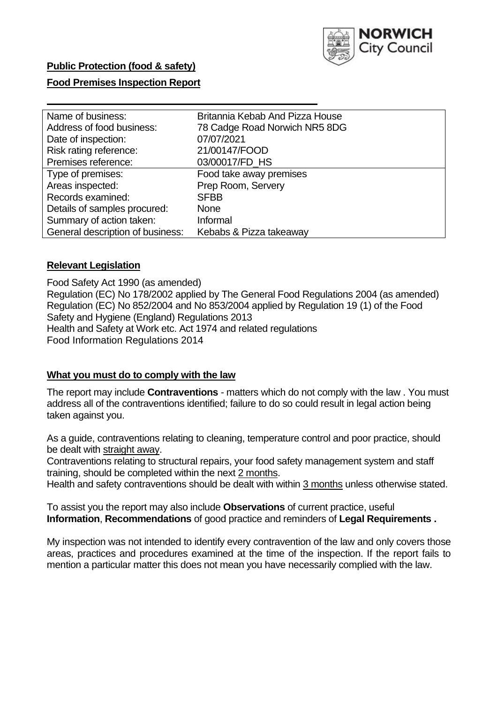

### **Food Premises Inspection Report**

| Name of business:                | Britannia Kebab And Pizza House |
|----------------------------------|---------------------------------|
| Address of food business:        | 78 Cadge Road Norwich NR5 8DG   |
| Date of inspection:              | 07/07/2021                      |
| Risk rating reference:           | 21/00147/FOOD                   |
| Premises reference:              | 03/00017/FD_HS                  |
| Type of premises:                | Food take away premises         |
| Areas inspected:                 | Prep Room, Servery              |
| Records examined:                | <b>SFBB</b>                     |
| Details of samples procured:     | None                            |
| Summary of action taken:         | Informal                        |
| General description of business: | Kebabs & Pizza takeaway         |

#### **Relevant Legislation**

 Food Safety Act 1990 (as amended) Regulation (EC) No 178/2002 applied by The General Food Regulations 2004 (as amended) Regulation (EC) No 852/2004 and No 853/2004 applied by Regulation 19 (1) of the Food Safety and Hygiene (England) Regulations 2013 Health and Safety at Work etc. Act 1974 and related regulations Food Information Regulations 2014

#### **What you must do to comply with the law**

 The report may include **Contraventions** - matters which do not comply with the law . You must address all of the contraventions identified; failure to do so could result in legal action being taken against you.

 As a guide, contraventions relating to cleaning, temperature control and poor practice, should be dealt with straight away.

 Contraventions relating to structural repairs, your food safety management system and staff training, should be completed within the next 2 months.

Health and safety contraventions should be dealt with within 3 months unless otherwise stated.

 To assist you the report may also include **Observations** of current practice, useful **Information**, **Recommendations** of good practice and reminders of **Legal Requirements .** 

 My inspection was not intended to identify every contravention of the law and only covers those areas, practices and procedures examined at the time of the inspection. If the report fails to mention a particular matter this does not mean you have necessarily complied with the law.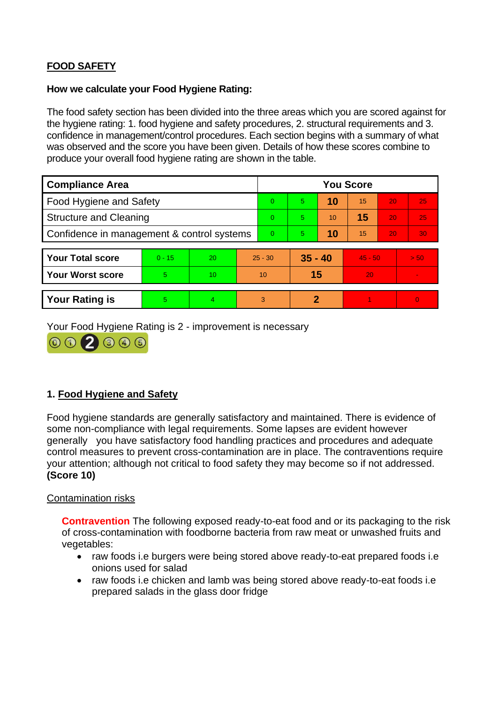# **FOOD SAFETY**

#### **How we calculate your Food Hygiene Rating:**

 The food safety section has been divided into the three areas which you are scored against for the hygiene rating: 1. food hygiene and safety procedures, 2. structural requirements and 3. confidence in management/control procedures. Each section begins with a summary of what was observed and the score you have been given. Details of how these scores combine to produce your overall food hygiene rating are shown in the table.

| <b>Compliance Area</b>                     |          |                  |          | <b>You Score</b> |    |           |    |           |                |  |  |
|--------------------------------------------|----------|------------------|----------|------------------|----|-----------|----|-----------|----------------|--|--|
| Food Hygiene and Safety                    |          |                  |          | $\Omega$         | 5  | 10        | 15 | 20        | 25             |  |  |
| <b>Structure and Cleaning</b>              |          |                  |          | $\Omega$         | 5  | 10        | 15 | 20        | 25             |  |  |
| Confidence in management & control systems |          |                  | $\Omega$ | 5                | 10 | 15        | 20 | 30        |                |  |  |
|                                            |          |                  |          |                  |    |           |    |           |                |  |  |
| <b>Your Total score</b>                    | $0 - 15$ | 20               |          | $25 - 30$        |    | $35 - 40$ |    | $45 - 50$ | > 50           |  |  |
| Your Worst score                           | 5        | 10 <sup>10</sup> |          | 10               | 15 |           | 20 |           | $\blacksquare$ |  |  |
|                                            |          |                  |          |                  |    |           |    |           |                |  |  |
| <b>Your Rating is</b>                      | 5        | $\overline{4}$   |          | 3                | 2  |           |    |           | $\overline{0}$ |  |  |

Your Food Hygiene Rating is 2 - improvement is necessary



# **1. Food Hygiene and Safety**

 generally you have satisfactory food handling practices and procedures and adequate Food hygiene standards are generally satisfactory and maintained. There is evidence of some non-compliance with legal requirements. Some lapses are evident however control measures to prevent cross-contamination are in place. The contraventions require your attention; although not critical to food safety they may become so if not addressed. **(Score 10)** 

#### Contamination risks

**Contravention** The following exposed ready-to-eat food and or its packaging to the risk of cross-contamination with foodborne bacteria from raw meat or unwashed fruits and vegetables:

- raw foods i.e burgers were being stored above ready-to-eat prepared foods i.e onions used for salad
- prepared salads in the glass door fridge • raw foods i.e chicken and lamb was being stored above ready-to-eat foods i.e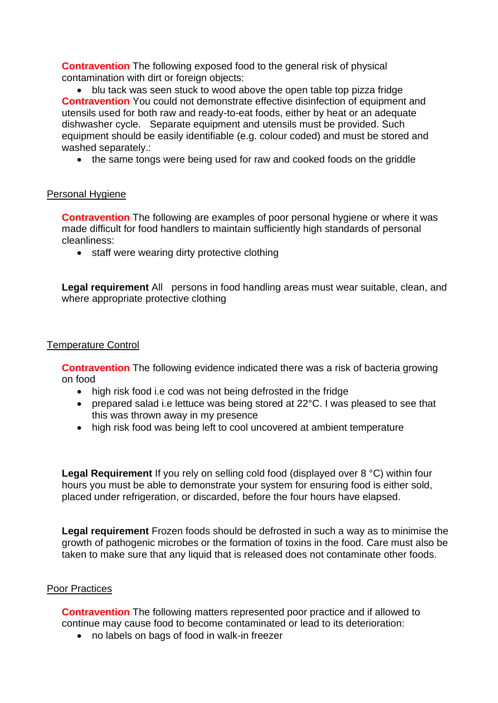**Contravention** The following exposed food to the general risk of physical contamination with dirt or foreign objects:

 equipment should be easily identifiable (e.g. colour coded) and must be stored and • blu tack was seen stuck to wood above the open table top pizza fridge **Contravention** You could not demonstrate effective disinfection of equipment and utensils used for both raw and ready-to-eat foods, either by heat or an adequate dishwasher cycle. Separate equipment and utensils must be provided. Such washed separately.:

• the same tongs were being used for raw and cooked foods on the griddle

## Personal Hygiene

 made difficult for food handlers to maintain sufficiently high standards of personal **Contravention** The following are examples of poor personal hygiene or where it was cleanliness:

• staff were wearing dirty protective clothing

Legal requirement All persons in food handling areas must wear suitable, clean, and where appropriate protective clothing

#### Temperature Control

 **Contravention** The following evidence indicated there was a risk of bacteria growing on food

- high risk food i.e cod was not being defrosted in the fridge
- prepared salad i.e lettuce was being stored at 22°C. I was pleased to see that this was thrown away in my presence
- high risk food was being left to cool uncovered at ambient temperature

 hours you must be able to demonstrate your system for ensuring food is either sold, Legal Requirement If you rely on selling cold food (displayed over 8 °C) within four placed under refrigeration, or discarded, before the four hours have elapsed.

 growth of pathogenic microbes or the formation of toxins in the food. Care must also be **Legal requirement** Frozen foods should be defrosted in such a way as to minimise the taken to make sure that any liquid that is released does not contaminate other foods.

#### Poor Practices

 **Contravention** The following matters represented poor practice and if allowed to continue may cause food to become contaminated or lead to its deterioration:

• no labels on bags of food in walk-in freezer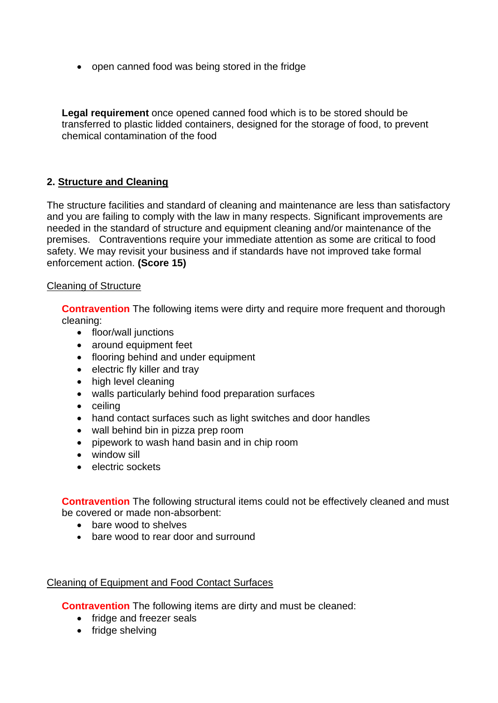• open canned food was being stored in the fridge

 **Legal requirement** once opened canned food which is to be stored should be transferred to plastic lidded containers, designed for the storage of food, to prevent chemical contamination of the food

# **2. Structure and Cleaning**

The structure facilities and standard of cleaning and maintenance are less than satisfactory and you are failing to comply with the law in many respects. Significant improvements are needed in the standard of structure and equipment cleaning and/or maintenance of the premises. Contraventions require your immediate attention as some are critical to food safety. We may revisit your business and if standards have not improved take formal enforcement action. **(Score 15)** 

#### Cleaning of Structure

**Contravention** The following items were dirty and require more frequent and thorough cleaning:

- floor/wall junctions
- around equipment feet
- flooring behind and under equipment
- electric fly killer and tray
- high level cleaning
- walls particularly behind food preparation surfaces
- ceiling
- hand contact surfaces such as light switches and door handles
- wall behind bin in pizza prep room
- pipework to wash hand basin and in chip room
- window sill
- electric sockets

**Contravention** The following structural items could not be effectively cleaned and must be covered or made non-absorbent:

- bare wood to shelves
- bare wood to rear door and surround

# Cleaning of Equipment and Food Contact Surfaces

**Contravention** The following items are dirty and must be cleaned:

- fridge and freezer seals
- fridge shelving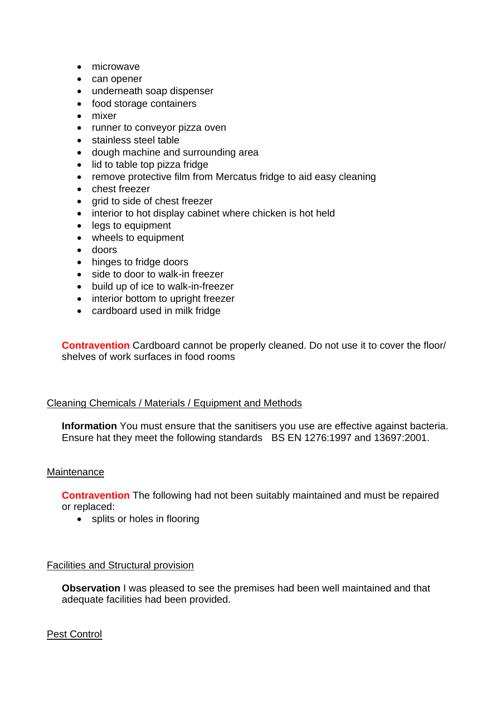- microwave
- can opener
- underneath soap dispenser
- food storage containers
- mixer
- runner to conveyor pizza oven
- stainless steel table
- dough machine and surrounding area
- lid to table top pizza fridge
- remove protective film from Mercatus fridge to aid easy cleaning
- chest freezer
- grid to side of chest freezer
- interior to hot display cabinet where chicken is hot held
- legs to equipment
- wheels to equipment
- doors
- hinges to fridge doors
- side to door to walk-in freezer
- build up of ice to walk-in-freezer
- interior bottom to upright freezer
- cardboard used in milk fridge

**Contravention** Cardboard cannot be properly cleaned. Do not use it to cover the floor/ shelves of work surfaces in food rooms

#### Cleaning Chemicals / Materials / Equipment and Methods

 **Information** You must ensure that the sanitisers you use are effective against bacteria. Ensure hat they meet the following standards BS EN 1276:1997 and 13697:2001.

#### **Maintenance**

**Contravention** The following had not been suitably maintained and must be repaired or replaced:

• splits or holes in flooring

#### Facilities and Structural provision

 **Observation** I was pleased to see the premises had been well maintained and that adequate facilities had been provided.

#### Pest Control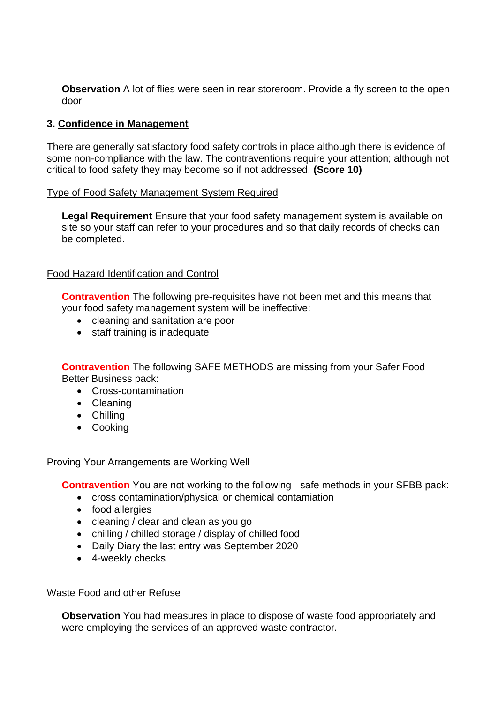**Observation** A lot of flies were seen in rear storeroom. Provide a fly screen to the open door

## **3. Confidence in Management**

 There are generally satisfactory food safety controls in place although there is evidence of some non-compliance with the law. The contraventions require your attention; although not critical to food safety they may become so if not addressed. **(Score 10)** 

#### Type of Food Safety Management System Required

**Legal Requirement** Ensure that your food safety management system is available on site so your staff can refer to your procedures and so that daily records of checks can be completed.

#### Food Hazard Identification and Control

**Contravention** The following pre-requisites have not been met and this means that your food safety management system will be ineffective:

- cleaning and sanitation are poor
- staff training is inadequate

**Contravention** The following SAFE METHODS are missing from your Safer Food Better Business pack:

- Cross-contamination
- Cleaning
- Chilling
- Cooking

#### Proving Your Arrangements are Working Well

**Contravention** You are not working to the following safe methods in your SFBB pack:

- cross contamination/physical or chemical contamiation
- food allergies
- cleaning / clear and clean as you go
- chilling / chilled storage / display of chilled food
- Daily Diary the last entry was September 2020
- 4-weekly checks

#### Waste Food and other Refuse

 **Observation** You had measures in place to dispose of waste food appropriately and were employing the services of an approved waste contractor.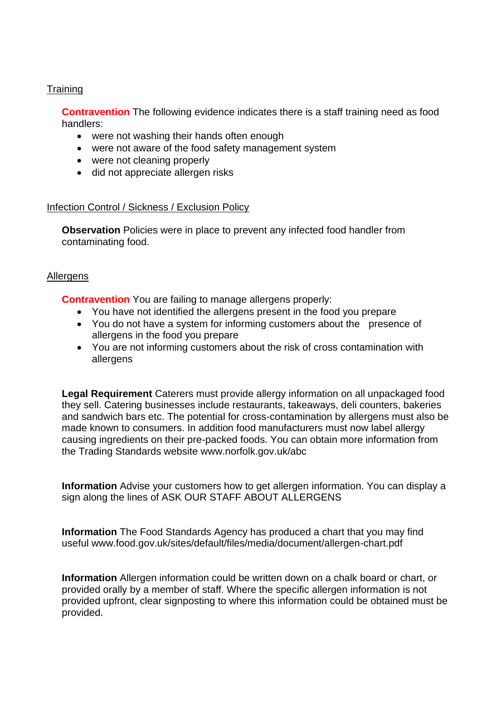## **Training**

 **Contravention** The following evidence indicates there is a staff training need as food handlers:

- were not washing their hands often enough
- were not aware of the food safety management system
- were not cleaning properly
- did not appreciate allergen risks

#### Infection Control / Sickness / Exclusion Policy

**Observation** Policies were in place to prevent any infected food handler from contaminating food.

#### Allergens

**Contravention** You are failing to manage allergens properly:

- You have not identified the allergens present in the food you prepare
- You do not have a system for informing customers about the presence of allergens in the food you prepare
- You are not informing customers about the risk of cross contamination with allergens

 **Legal Requirement** Caterers must provide allergy information on all unpackaged food they sell. Catering businesses include restaurants, takeaways, deli counters, bakeries causing ingredients on their pre-packed foods. You can obtain more information from the Trading Standards website<www.norfolk.gov.uk/abc> and sandwich bars etc. The potential for cross-contamination by allergens must also be made known to consumers. In addition food manufacturers must now label allergy

 **Information** Advise your customers how to get allergen information. You can display a sign along the lines of ASK OUR STAFF ABOUT ALLERGENS

 **Information** The Food Standards Agency has produced a chart that you may find useful <www.food.gov.uk/sites/default/files/media/document/allergen-chart.pdf>

 **Information** Allergen information could be written down on a chalk board or chart, or provided upfront, clear signposting to where this information could be obtained must be provided orally by a member of staff. Where the specific allergen information is not provided.